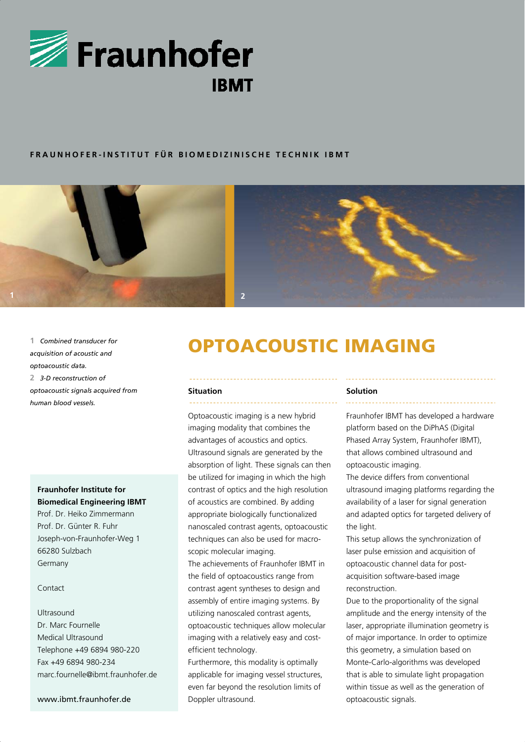

### **FRAUNHOFER-INSTITUT FÜR BIOMEDIZINISCHE TECHNIK IBMT**



*acquisition of acoustic and optoacoustic data.*  **2** *3-D reconstruction of optoacoustic signals acquired from human blood vessels.*

## **Fraunhofer Institute for Biomedical Engineering IBMT**

Prof. Dr. Heiko Zimmermann Prof. Dr. Günter R. Fuhr Joseph-von-Fraunhofer-Weg 1 66280 Sulzbach Germany

#### Contact

# Ultrasound Dr. Marc Fournelle Medical Ultrasound Telephone +49 6894 980-220 Fax +49 6894 980-234 marc.fournelle@ibmt.fraunhofer.de

#### www.ibmt.fraunhofer.de

# 1 Combined transducer for **1 OPTOACOUSTIC IMAGING**

#### **Situation**

Optoacoustic imaging is a new hybrid imaging modality that combines the advantages of acoustics and optics. Ultrasound signals are generated by the absorption of light. These signals can then be utilized for imaging in which the high contrast of optics and the high resolution of acoustics are combined. By adding appropriate biologically functionalized nanoscaled contrast agents, optoacoustic techniques can also be used for macroscopic molecular imaging.

The achievements of Fraunhofer IBMT in the field of optoacoustics range from contrast agent syntheses to design and assembly of entire imaging systems. By utilizing nanoscaled contrast agents, optoacoustic techniques allow molecular imaging with a relatively easy and costefficient technology.

Furthermore, this modality is optimally applicable for imaging vessel structures, even far beyond the resolution limits of Doppler ultrasound.

#### **Solution**

Fraunhofer IBMT has developed a hardware platform based on the DiPhAS (Digital Phased Array System, Fraunhofer IBMT), that allows combined ultrasound and optoacoustic imaging.

The device differs from conventional ultrasound imaging platforms regarding the availability of a laser for signal generation and adapted optics for targeted delivery of the light.

This setup allows the synchronization of laser pulse emission and acquisition of optoacoustic channel data for postacquisition software-based image reconstruction.

Due to the proportionality of the signal amplitude and the energy intensity of the laser, appropriate illumination geometry is of major importance. In order to optimize this geometry, a simulation based on Monte-Carlo-algorithms was developed that is able to simulate light propagation within tissue as well as the generation of optoacoustic signals.